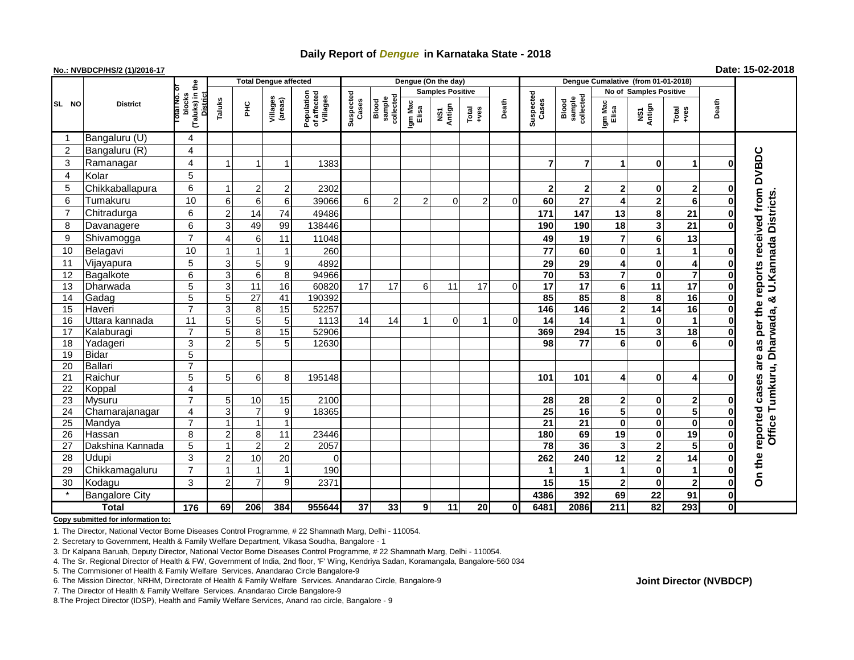## **Daily Report of** *Dengue* **in Karnataka State - 2018**

## **No.: NVBDCP/HS/2 (1)/2016-17 Date: 15-02-2018**

|                                       |                                |                                                   | <b>Total Dengue affected</b> |                      |                               |                                       |                    |                              |                         | Dengue (On the day) |                |             |                    |                              |                                   |                              |                               |                      |                                                     |
|---------------------------------------|--------------------------------|---------------------------------------------------|------------------------------|----------------------|-------------------------------|---------------------------------------|--------------------|------------------------------|-------------------------|---------------------|----------------|-------------|--------------------|------------------------------|-----------------------------------|------------------------------|-------------------------------|----------------------|-----------------------------------------------------|
|                                       |                                |                                                   |                              |                      |                               |                                       |                    |                              | <b>Samples Positive</b> |                     |                |             |                    |                              | <b>No of Samples Positive</b>     |                              |                               |                      |                                                     |
| SL NO                                 | <b>District</b>                | (Taluks) in the<br>blocks<br>District<br>otal No. | Taluks                       | ЪR                   | Villages<br>(areas)           | Population<br>of affected<br>Villages | Suspected<br>Cases | collected<br>sample<br>Blood | Igm Mac<br>Elisa        | Antign<br>Σń        | Total<br>+ves  | Death       | Suspected<br>Cases | sample<br>collected<br>Blood | Igm Mac<br>Elisa                  | NS1<br>Antign                | Total<br>+ves                 | Death                |                                                     |
|                                       | Bangaluru (U)                  | 4                                                 |                              |                      |                               |                                       |                    |                              |                         |                     |                |             |                    |                              |                                   |                              |                               |                      |                                                     |
| 2                                     | Bangaluru (R)                  | 4                                                 |                              |                      |                               |                                       |                    |                              |                         |                     |                |             |                    |                              |                                   |                              |                               |                      |                                                     |
| 3                                     | Ramanagar                      | 4                                                 |                              |                      | -1                            | 1383                                  |                    |                              |                         |                     |                |             | $\overline{7}$     | $\overline{7}$               |                                   | $\mathbf{0}$                 | 1                             | O                    | <b>DVBDC</b>                                        |
| 4                                     | Kolar                          | 5                                                 |                              |                      |                               |                                       |                    |                              |                         |                     |                |             |                    |                              |                                   |                              |                               |                      |                                                     |
| 5                                     | Chikkaballapura                | 6                                                 |                              | 2                    | $\overline{\mathbf{c}}$       | 2302                                  |                    |                              |                         |                     |                |             | $\boldsymbol{2}$   | $\mathbf{2}$                 | $\mathbf{2}$                      | $\mathbf{0}$                 | $\mathbf{2}$                  | 0                    |                                                     |
| 6                                     | Tumakuru                       | 10                                                | 6                            | 6                    | 6                             | 39066                                 | 6                  | $\overline{2}$               | $\overline{2}$          | $\mathbf 0$         | $\overline{2}$ | $\mathbf 0$ | 60                 | 27                           | $\overline{\mathbf{4}}$           | 2                            | 6                             | $\bf{0}$             |                                                     |
| $\overline{7}$                        | Chitradurga                    | 6                                                 | 2                            | 14                   | 74                            | 49486                                 |                    |                              |                         |                     |                |             | 171                | 147                          | 13                                | 8                            | 21                            | $\bf{0}$             | reports received from<br><b>U.Kannada Districts</b> |
| 8                                     | Davanagere                     | $6\phantom{1}6$                                   | 3                            | 49                   | 99                            | 138446                                |                    |                              |                         |                     |                |             | 190                | 190                          | 18                                | $\overline{\mathbf{3}}$      | 21                            | O                    |                                                     |
| 9                                     | Shivamogga                     | $\overline{7}$                                    | Δ                            | 6                    | 11                            | 11048                                 |                    |                              |                         |                     |                |             | 49                 | 19                           | $\overline{7}$                    | 6                            | 13                            |                      |                                                     |
| 10                                    | Belagavi                       | 10                                                |                              |                      |                               | 260                                   |                    |                              |                         |                     |                |             | 77                 | 60                           | $\mathbf 0$                       |                              | $\mathbf{1}$                  | 0                    |                                                     |
| 11                                    | Vijayapura                     | 5                                                 | 3                            | 5 <sup>1</sup>       | 9                             | 4892                                  |                    |                              |                         |                     |                |             | 29                 | 29                           | 4                                 | $\mathbf{0}$                 | 4                             | 0                    |                                                     |
| 12                                    | Bagalkote                      | $\overline{6}$                                    | 3                            | $6\phantom{1}$       | 8                             | 94966                                 |                    |                              |                         |                     |                |             | 70                 | 53                           | $\overline{7}$                    | $\mathbf{0}$                 | $\overline{\mathbf{z}}$       | $\bf{0}$             |                                                     |
| 13                                    | Dharwada                       | $\overline{5}$                                    | 3                            | 11                   | 16                            | 60820                                 | 17                 | 17                           | 6                       | 11                  | 17             | $\Omega$    | $\overline{17}$    | $\overline{17}$              | 6 <sup>1</sup>                    | 11                           | $\overline{17}$               | $\bf{0}$             |                                                     |
| 14                                    | Gadag                          | $\overline{5}$                                    | 5                            | $\overline{27}$      | 41                            | 190392                                |                    |                              |                         |                     |                |             | 85                 | 85                           | 8                                 | 8                            | 16                            | $\bf{0}$             |                                                     |
| 15                                    | Haveri                         | $\overline{7}$                                    | 3                            | 8                    | $\overline{15}$               | 52257                                 |                    |                              |                         |                     |                |             | 146                | 146                          | $\mathbf{2}$                      | 14                           | 16                            | $\bf{0}$             | the                                                 |
| 16                                    | Uttara kannada                 | 11                                                | 5                            | 5                    | 5                             | 1113                                  | 14                 | 14                           | 1                       | 0                   | 1              | 0           | 14                 | 14                           | $\mathbf{1}$                      | $\mathbf{0}$                 | $\mathbf{1}$                  | $\mathbf 0$          |                                                     |
| 17                                    | Kalaburagi                     | $\overline{7}$                                    | 5                            | 8                    | 15                            | 52906                                 |                    |                              |                         |                     |                |             | 369                | 294                          | 15                                | $\overline{\mathbf{3}}$      | $\overline{18}$               | $\bf{0}$             | per                                                 |
| 18                                    | Yadageri                       | $\overline{3}$                                    | $\overline{2}$               | 5                    | 5                             | 12630                                 |                    |                              |                         |                     |                |             | 98                 | $\overline{77}$              | 6                                 | 0                            | 6                             |                      | 8g                                                  |
| 19                                    | Bidar                          | $\overline{5}$                                    |                              |                      |                               |                                       |                    |                              |                         |                     |                |             |                    |                              |                                   |                              |                               |                      | are                                                 |
| 20                                    | Ballari                        | $\overline{7}$                                    |                              |                      |                               |                                       |                    |                              |                         |                     |                |             |                    |                              |                                   |                              |                               |                      | Tumkuru, Dharwada, &                                |
| 21                                    | Raichur                        | 5                                                 | 5                            | 6                    | 8                             | 195148                                |                    |                              |                         |                     |                |             | 101                | 101                          | 4                                 | $\mathbf{0}$                 | 4                             | O                    | cases                                               |
| 22                                    | Koppal                         | $\overline{\mathbf{4}}$                           |                              |                      |                               |                                       |                    |                              |                         |                     |                |             |                    |                              |                                   |                              |                               |                      |                                                     |
| 23                                    | <b>Mysuru</b>                  | $\overline{7}$                                    | 5                            | 10                   | 15                            | 2100                                  |                    |                              |                         |                     |                |             | 28                 | 28                           | $\mathbf{2}$                      | $\mathbf{0}$                 | $\mathbf{2}$                  | 0                    |                                                     |
| 24                                    | Chamarajanagar                 | 4                                                 | 3                            | $\overline{7}$       | 9                             | 18365                                 |                    |                              |                         |                     |                |             | 25                 | 16                           | 5                                 | $\mathbf{0}$                 | 5                             | $\bf{0}$             |                                                     |
| 25                                    | Mandya                         | $\overline{7}$                                    |                              | $\blacktriangleleft$ | $\mathbf{1}$                  |                                       |                    |                              |                         |                     |                |             | $\overline{21}$    | 21                           | $\mathbf{0}$                      | $\mathbf{0}$                 | $\bf{0}$                      | $\bf{0}$             | Office                                              |
| 26<br>27                              | Hassan                         | 8<br>$\overline{5}$                               | 2                            | 8<br>$\overline{2}$  | 11<br>$\overline{2}$          | 23446<br>2057                         |                    |                              |                         |                     |                |             | 180<br>78          | 69<br>36                     | $\overline{19}$<br>3 <sup>1</sup> | $\mathbf{0}$<br>$\mathbf{2}$ | 19<br>$\overline{\mathbf{5}}$ | $\bf{0}$<br>$\bf{0}$ | reported                                            |
| 28                                    | Dakshina Kannada               | 3                                                 | 2                            |                      |                               | $\Omega$                              |                    |                              |                         |                     |                |             | 262                | 240                          | 12                                | 2                            | 14                            |                      |                                                     |
| 29                                    | <b>Udupi</b><br>Chikkamagaluru | $\overline{7}$                                    |                              | 10                   | 20<br>$\overline{\mathbf{1}}$ | 190                                   |                    |                              |                         |                     |                |             | 1                  |                              |                                   | $\mathbf{0}$                 | $\mathbf{1}$                  | 0<br>$\bf{0}$        | On the                                              |
| 30                                    |                                | 3                                                 | $\overline{2}$               | $\overline{7}$       | 9                             | 2371                                  |                    |                              |                         |                     |                |             | 15                 |                              | 2 <sup>1</sup>                    | $\mathbf{0}$                 | $\mathbf{2}$                  | $\bf{0}$             |                                                     |
|                                       | Kodagu                         |                                                   |                              |                      |                               |                                       |                    |                              |                         |                     |                |             | 4386               | 15<br>392                    | 69                                | 22                           | 91                            | $\mathbf 0$          |                                                     |
| <b>Bangalore City</b><br><b>Total</b> |                                | 176                                               | 69                           | 206                  | 384                           | 955644                                | 37                 | 33                           | 9                       | 11                  | 20             | $\bf{0}$    | 6481               | 2086                         | 211                               | 82                           | 293                           | 0I                   |                                                     |

**Copy submitted for information to:**

1. The Director, National Vector Borne Diseases Control Programme, # 22 Shamnath Marg, Delhi - 110054.

2. Secretary to Government, Health & Family Welfare Department, Vikasa Soudha, Bangalore - 1

3. Dr Kalpana Baruah, Deputy Director, National Vector Borne Diseases Control Programme, # 22 Shamnath Marg, Delhi - 110054.

4. The Sr. Regional Director of Health & FW, Government of India, 2nd floor, 'F' Wing, Kendriya Sadan, Koramangala, Bangalore-560 034

5. The Commisioner of Health & Family Welfare Services. Anandarao Circle Bangalore-9

7. The Director of Health & Family Welfare Services. Anandarao Circle Bangalore-9

8.The Project Director (IDSP), Health and Family Welfare Services, Anand rao circle, Bangalore - 9

## **Joint Director (NVBDCP)**

<sup>6.</sup> The Mission Director, NRHM, Directorate of Health & Family Welfare Services. Anandarao Circle, Bangalore-9